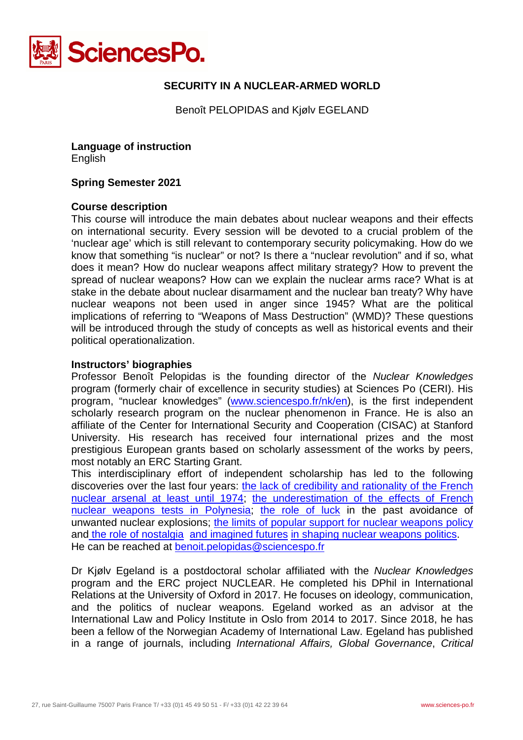

# **SECURITY IN A NUCLEAR-ARMED WORLD**

Benoît PELOPIDAS and Kjølv EGELAND

**Language of instruction** English

#### **Spring Semester 2021**

#### **Course description**

This course will introduce the main debates about nuclear weapons and their effects on international security. Every session will be devoted to a crucial problem of the 'nuclear age' which is still relevant to contemporary security policymaking. How do we know that something "is nuclear" or not? Is there a "nuclear revolution" and if so, what does it mean? How do nuclear weapons affect military strategy? How to prevent the spread of nuclear weapons? How can we explain the nuclear arms race? What is at stake in the debate about nuclear disarmament and the nuclear ban treaty? Why have nuclear weapons not been used in anger since 1945? What are the political implications of referring to "Weapons of Mass Destruction" (WMD)? These questions will be introduced through the study of concepts as well as historical events and their political operationalization.

### **Instructors' biographies**

Professor Benoît Pelopidas is the founding director of the *Nuclear Knowledges*  program (formerly chair of excellence in security studies) at Sciences Po (CERI). His program, "nuclear knowledges" [\(www.sciencespo.fr/nk/en\)](http://www.sciencespo.fr/nk/en), is the first independent scholarly research program on the nuclear phenomenon in France. He is also an affiliate of the Center for International Security and Cooperation (CISAC) at Stanford University. His research has received four international prizes and the most prestigious European grants based on scholarly assessment of the works by peers, most notably an ERC Starting Grant.

This interdisciplinary effort of independent scholarship has led to the following discoveries over the last four years: [the lack of credibility and rationality of the French](https://www.tandfonline.com/doi/full/10.1080/14682745.2020.1832472)  [nuclear arsenal at least until 1974;](https://www.tandfonline.com/doi/full/10.1080/14682745.2020.1832472) [the underestimation of the effects of French](https://moruroa-files.org/en/investigation/moruroa-files)  [nuclear weapons tests in Polynesia;](https://moruroa-files.org/en/investigation/moruroa-files) [the role of luck](https://spire.sciencespo.fr/hdl:/2441/ua7e5224r8hcajffldvsmh3eo/resources/2017-06-pelopidas-unbearable-lightness-of-luck-ejis-2-2.pdf) in the past avoidance of unwanted nuclear explosions; [the limits of popular support for nuclear weapons policy](https://www.tandfonline.com/doi/full/10.1080/09662839.2020.1855147?src=recsys) and [the role of nostalgia](https://kjolvegeland.files.wordpress.com/2020/08/proofs-who-stole-disarmament.pdf) [and imagined futures](https://spire.sciencespo.fr/hdl:/2441/1gbngur2v88b1p4e4p99mfcpdh/resources/2021-pelopidas-nuclear-eternity-chapter.pdf) [in shaping nuclear weapons politics.](https://www.tandfonline.com/doi/full/10.1080/23340460.2021.1955622) He can be reached at [benoit.pelopidas@sciencespo.fr](mailto:benoit.pelopidas@sciencespo.fr)

Dr Kjølv Egeland is a postdoctoral scholar affiliated with the *Nuclear Knowledges*  program and the ERC project NUCLEAR. He completed his DPhil in International Relations at the University of Oxford in 2017. He focuses on ideology, communication, and the politics of nuclear weapons. Egeland worked as an advisor at the International Law and Policy Institute in Oslo from 2014 to 2017. Since 2018, he has been a fellow of the Norwegian Academy of International Law. Egeland has published in a range of journals, including *International Affairs, Global Governance*, *Critical*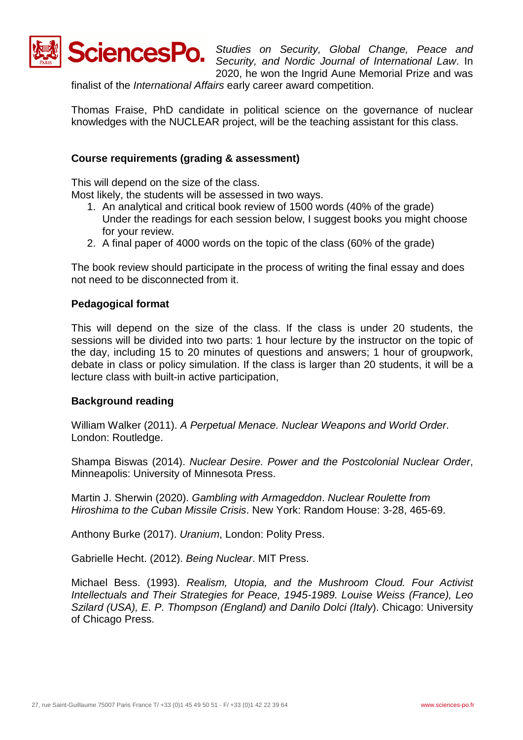

**SciencesPo.** *Studies on Security, Global Change, Peace and Security* and *Nordic Journal of International Law In Security, and Nordic Journal of International Law*. In 2020, he won the Ingrid Aune Memorial Prize and was

finalist of the *International Affairs* early career award competition.

Thomas Fraise, PhD candidate in political science on the governance of nuclear knowledges with the NUCLEAR project, will be the teaching assistant for this class.

### **Course requirements (grading & assessment)**

This will depend on the size of the class. Most likely, the students will be assessed in two ways.

- 1. An analytical and critical book review of 1500 words (40% of the grade) Under the readings for each session below, I suggest books you might choose for your review.
- 2. A final paper of 4000 words on the topic of the class (60% of the grade)

The book review should participate in the process of writing the final essay and does not need to be disconnected from it.

## **Pedagogical format**

This will depend on the size of the class. If the class is under 20 students, the sessions will be divided into two parts: 1 hour lecture by the instructor on the topic of the day, including 15 to 20 minutes of questions and answers; 1 hour of groupwork, debate in class or policy simulation. If the class is larger than 20 students, it will be a lecture class with built-in active participation,

### **Background reading**

William Walker (2011). *A Perpetual Menace. Nuclear Weapons and World Order*. London: Routledge.

Shampa Biswas (2014). *Nuclear Desire. Power and the Postcolonial Nuclear Order*, Minneapolis: University of Minnesota Press.

Martin J. Sherwin (2020). *Gambling with Armageddon*. *Nuclear Roulette from Hiroshima to the Cuban Missile Crisis*. New York: Random House: 3-28, 465-69.

Anthony Burke (2017). *Uranium*, London: Polity Press.

Gabrielle Hecht. (2012). *Being Nuclear*. MIT Press.

Michael Bess. (1993). *Realism, Utopia, and the Mushroom Cloud. Four Activist Intellectuals and Their Strategies for Peace, 1945-1989. Louise Weiss (France), Leo Szilard (USA), E. P. Thompson (England) and Danilo Dolci (Italy*). Chicago: University of Chicago Press.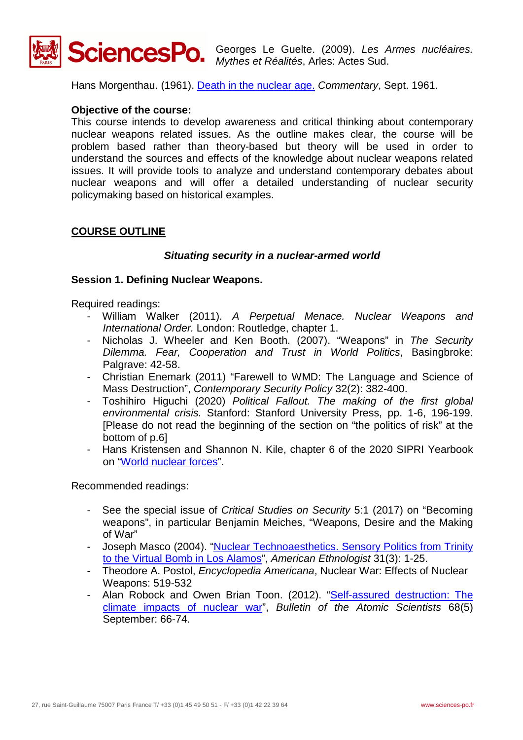

Hans Morgenthau. (1961). [Death in the nuclear age.](https://www.commentarymagazine.com/articles/death-in-the-nuclear-age/) *Commentary*, Sept. 1961.

### **Objective of the course:**

This course intends to develop awareness and critical thinking about contemporary nuclear weapons related issues. As the outline makes clear, the course will be problem based rather than theory-based but theory will be used in order to understand the sources and effects of the knowledge about nuclear weapons related issues. It will provide tools to analyze and understand contemporary debates about nuclear weapons and will offer a detailed understanding of nuclear security policymaking based on historical examples.

## **COURSE OUTLINE**

### *Situating security in a nuclear-armed world*

#### **Session 1. Defining Nuclear Weapons.**

Required readings:

- William Walker (2011). *A Perpetual Menace. Nuclear Weapons and International Order.* London: Routledge, chapter 1.
- Nicholas J. Wheeler and Ken Booth. (2007). "Weapons" in *The Security Dilemma. Fear, Cooperation and Trust in World Politics*, Basingbroke: Palgrave: 42-58.
- Christian Enemark (2011) "Farewell to WMD: The Language and Science of Mass Destruction", *Contemporary Security Policy* 32(2): 382-400.
- Toshihiro Higuchi (2020) *Political Fallout. The making of the first global environmental crisis.* Stanford: Stanford University Press, pp. 1-6, 196-199. [Please do not read the beginning of the section on "the politics of risk" at the bottom of p.6]
- Hans Kristensen and Shannon N. Kile, chapter 6 of the 2020 SIPRI Yearbook on ["World nuclear forces"](https://www-sipriyearbook-org.acces-distant.sciencespo.fr/view/9780198839996/sipri-9780198839996-chapter-6.xml).

- See the special issue of *Critical Studies on Security* 5:1 (2017) on "Becoming weapons", in particular Benjamin Meiches, "Weapons, Desire and the Making of War"
- Joseph Masco (2004). ["Nuclear Technoaesthetics. Sensory Politics from Trinity](http://ceas.iscte.pt/ethnografeast/Joseph%20Masco/%20Technoaesthetics.pdf)  [to the Virtual Bomb in Los Alamos"](http://ceas.iscte.pt/ethnografeast/Joseph%20Masco/%20Technoaesthetics.pdf), *American Ethnologist* 31(3): 1-25.
- Theodore A. Postol, *Encyclopedia Americana*, Nuclear War: Effects of Nuclear Weapons: 519-532
- Alan Robock and Owen Brian Toon. (2012). "Self-assured destruction: The [climate impacts of nuclear war"](http://climate.envsci.rutgers.edu/pdf/RobockToonSAD.pdf), *Bulletin of the Atomic Scientists* 68(5) September: 66-74.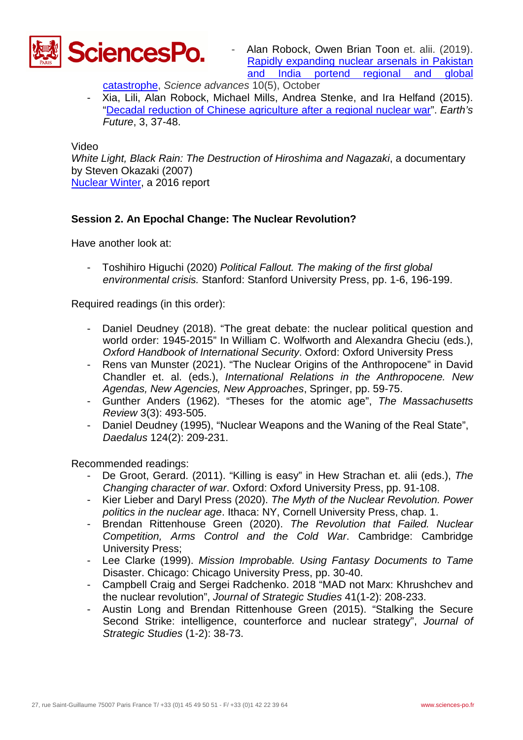

Alan Robock, Owen Brian Toon et. alii. (2019). [Rapidly expanding nuclear arsenals in Pakistan](https://advances.sciencemag.org/content/5/10/eaay5478)  [and India portend regional and global](https://advances.sciencemag.org/content/5/10/eaay5478) 

[catastrophe,](https://advances.sciencemag.org/content/5/10/eaay5478) *Science advances* 10(5), October

- Xia, Lili, Alan Robock, Michael Mills, Andrea Stenke, and Ira Helfand (2015). ["Decadal reduction of Chinese agriculture after a regional nuclear war"](http://climate.envsci.rutgers.edu/pdf/XiaChinaAgro.pdf). *Earth's Future*, 3, 37-48.

Video

*White Light, Black Rain: The Destruction of Hiroshima and Nagazaki*, a documentary by Steven Okazaki (2007) Nuclear Winter, a 2016 report

## **Session 2. An Epochal Change: The Nuclear Revolution?**

Have another look at:

- Toshihiro Higuchi (2020) *Political Fallout. The making of the first global environmental crisis.* Stanford: Stanford University Press, pp. 1-6, 196-199.

Required readings (in this order):

- Daniel Deudney (2018). "The great debate: the nuclear political question and world order: 1945-2015" In William C. Wolfworth and Alexandra Gheciu (eds.), *Oxford Handbook of International Security*. Oxford: Oxford University Press
- Rens van Munster (2021). "The Nuclear Origins of the Anthropocene" in David Chandler et. al. (eds.), *International Relations in the Anthropocene. New Agendas, New Agencies, New Approaches*, Springer, pp. 59-75.
- Gunther Anders (1962). "Theses for the atomic age", *The Massachusetts Review* 3(3): 493-505.
- Daniel Deudney (1995), "Nuclear Weapons and the Waning of the Real State", *Daedalus* 124(2): 209-231.

- De Groot, Gerard. (2011). "Killing is easy" in Hew Strachan et. alii (eds.), *The Changing character of war*. Oxford: Oxford University Press, pp. 91-108.
- Kier Lieber and Daryl Press (2020). *The Myth of the Nuclear Revolution. Power politics in the nuclear age*. Ithaca: NY, Cornell University Press, chap. 1.
- Brendan Rittenhouse Green (2020). *The Revolution that Failed. Nuclear Competition, Arms Control and the Cold War*. Cambridge: Cambridge University Press;
- Lee Clarke (1999). *Mission Improbable. Using Fantasy Documents to Tame*  Disaster. Chicago: Chicago University Press, pp. 30-40.
- Campbell Craig and Sergei Radchenko. 2018 "MAD not Marx: Khrushchev and the nuclear revolution", *Journal of Strategic Studies* 41(1-2): 208-233.
- Austin Long and Brendan Rittenhouse Green (2015). "Stalking the Secure Second Strike: intelligence, counterforce and nuclear strategy", *Journal of Strategic Studies* (1-2): 38-73.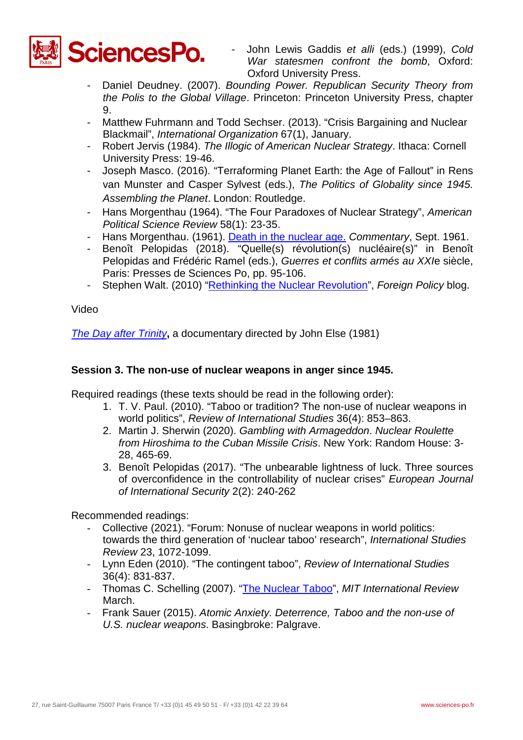

- John Lewis Gaddis *et alli* (eds.) (1999), *Cold War statesmen confront the bomb*, Oxford: Oxford University Press.
- Daniel Deudney. (2007). *Bounding Power. Republican Security Theory from the Polis to the Global Village*. Princeton: Princeton University Press, chapter 9.
- Matthew Fuhrmann and Todd Sechser. (2013). "Crisis Bargaining and Nuclear Blackmail", *International Organization* 67(1), January.
- Robert Jervis (1984). *The Illogic of American Nuclear Strategy*. Ithaca: Cornell University Press: 19-46.
- Joseph Masco. (2016). "Terraforming Planet Earth: the Age of Fallout" in Rens van Munster and Casper Sylvest (eds.), *The Politics of Globality since 1945. Assembling the Planet*. London: Routledge.
- Hans Morgenthau (1964). "The Four Paradoxes of Nuclear Strategy", *American Political Science Review* 58(1): 23-35.
- Hans Morgenthau. (1961). [Death in the nuclear age.](https://www.commentarymagazine.com/articles/death-in-the-nuclear-age/) *Commentary*, Sept. 1961.
- Benoît Pelopidas (2018). "Quelle(s) révolution(s) nucléaire(s)" in Benoît Pelopidas and Frédéric Ramel (eds.), *Guerres et conflits armés au XXI*e siècle, Paris: Presses de Sciences Po, pp. 95-106.
- Stephen Walt. (2010) ["Rethinking the Nuclear Revolution"](http://walt.foreignpolicy.com/posts/2010/08/03/rethinking_the_nuclear_revolution), *Foreign Policy* blog.

Video

*[The Day after Trinity](https://www.youtube.com/watch?v=Vm5fCxXnK7Y)*, a documentary directed by John Else (1981)

## **Session 3. The non-use of nuclear weapons in anger since 1945.**

Required readings (these texts should be read in the following order):

- 1. T. V. Paul. (2010). "Taboo or tradition? The non-use of nuclear weapons in world politics", *Review of International Studies* 36(4): 853–863.
- 2. Martin J. Sherwin (2020). *Gambling with Armageddon*. *Nuclear Roulette from Hiroshima to the Cuban Missile Crisis*. New York: Random House: 3- 28, 465-69.
- 3. Benoît Pelopidas (2017). "The unbearable lightness of luck. Three sources of overconfidence in the controllability of nuclear crises" *European Journal of International Security* 2(2): 240-262

- Collective (2021). "Forum: Nonuse of nuclear weapons in world politics: towards the third generation of 'nuclear taboo' research", *International Studies Review* 23, 1072-1099.
- Lynn Eden (2010). "The contingent taboo", *Review of International Studies*  36(4): 831-837.
- Thomas C. Schelling (2007). ["The Nuclear Taboo"](http://web.mit.edu/mitir/2007/spring/taboo.html), *MIT International Review*  March.
- Frank Sauer (2015). *Atomic Anxiety. Deterrence, Taboo and the non-use of U.S. nuclear weapons*. Basingbroke: Palgrave.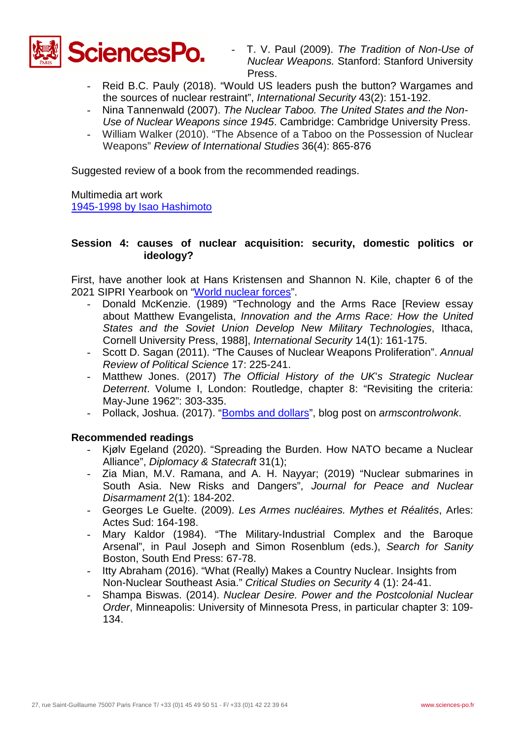

- T. V. Paul (2009). *The Tradition of Non-Use of Nuclear Weapons.* Stanford: Stanford University Press.
- Reid B.C. Pauly (2018). "Would US leaders push the button? Wargames and the sources of nuclear restraint", *International Security* 43(2): 151-192.
- Nina Tannenwald (2007). *The Nuclear Taboo. The United States and the Non-Use of Nuclear Weapons since 1945*. Cambridge: Cambridge University Press.
- William Walker (2010). "The Absence of a Taboo on the Possession of Nuclear Weapons" *Review of International Studies* 36(4): 865-876

Suggested review of a book from the recommended readings.

Multimedia art work [1945-1998 by Isao Hashimoto](http://www.ctbto.org/specials/1945-1998-by-isao-hashimoto)

### **Session 4: causes of nuclear acquisition: security, domestic politics or ideology?**

First, have another look at Hans Kristensen and Shannon N. Kile, chapter 6 of the 2021 SIPRI Yearbook on ["World nuclear forces"](https://www-sipriyearbook-org.acces-distant.sciencespo.fr/view/9780198839996/sipri-9780198839996-chapter-6.xml).

- Donald McKenzie. (1989) "Technology and the Arms Race [Review essay about Matthew Evangelista, *Innovation and the Arms Race: How the United States and the Soviet Union Develop New Military Technologies*, Ithaca, Cornell University Press, 1988], *International Security* 14(1): 161-175.
- Scott D. Sagan (2011). "The Causes of Nuclear Weapons Proliferation". *Annual Review of Political Science* 17: 225-241.
- Matthew Jones. (2017) *The Official History of the UK*'*s Strategic Nuclear Deterrent*. Volume I, London: Routledge, chapter 8: "Revisiting the criteria: May-June 1962": 303-335.
- Pollack, Joshua. (2017). ["Bombs and dollars"](http://www.armscontrolwonk.com/archive/1203785/bombs-and-dollars/), blog post on *armscontrolwonk*.

- Kjølv Egeland (2020). "Spreading the Burden. How NATO became a Nuclear Alliance", *Diplomacy & Statecraft* 31(1);
- Zia Mian, M.V. Ramana, and A. H. Nayyar; (2019) "Nuclear submarines in South Asia. New Risks and Dangers", *Journal for Peace and Nuclear Disarmament* 2(1): 184-202.
- Georges Le Guelte. (2009). *Les Armes nucléaires. Mythes et Réalités*, Arles: Actes Sud: 164-198.
- Mary Kaldor (1984). "The Military-Industrial Complex and the Baroque Arsenal", in Paul Joseph and Simon Rosenblum (eds.), *Search for Sanity* Boston, South End Press: 67-78.
- Itty Abraham (2016). "What (Really) Makes a Country Nuclear. Insights from Non-Nuclear Southeast Asia." *Critical Studies on Security* 4 (1): 24-41.
- Shampa Biswas. (2014). *Nuclear Desire. Power and the Postcolonial Nuclear Order*, Minneapolis: University of Minnesota Press, in particular chapter 3: 109- 134.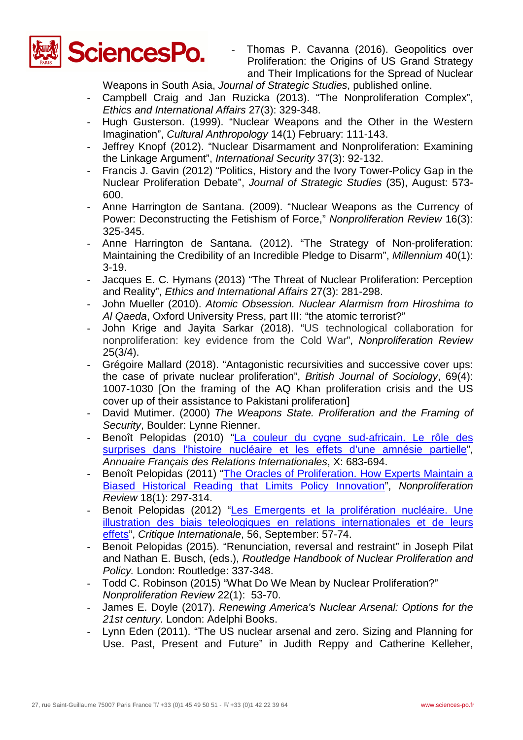

Thomas P. Cavanna (2016). Geopolitics over Proliferation: the Origins of US Grand Strategy and Their Implications for the Spread of Nuclear

Weapons in South Asia, *Journal of Strategic Studies*, published online.

- Campbell Craig and Jan Ruzicka (2013). "The Nonproliferation Complex", *Ethics and International Affairs* 27(3): 329-348.
- Hugh Gusterson. (1999). "Nuclear Weapons and the Other in the Western Imagination", *Cultural Anthropology* 14(1) February: 111-143.
- Jeffrey Knopf (2012). "Nuclear Disarmament and Nonproliferation: Examining the Linkage Argument", *International Security* 37(3): 92-132.
- Francis J. Gavin (2012) "Politics, History and the Ivory Tower-Policy Gap in the Nuclear Proliferation Debate", *Journal of Strategic Studies* (35), August: 573- 600.
- Anne Harrington de Santana. (2009). "Nuclear Weapons as the Currency of Power: Deconstructing the Fetishism of Force," *Nonproliferation Review* 16(3): 325-345.
- Anne Harrington de Santana. (2012). "The Strategy of Non-proliferation: Maintaining the Credibility of an Incredible Pledge to Disarm", *Millennium* 40(1): 3-19.
- Jacques E. C. Hymans (2013) "The Threat of Nuclear Proliferation: Perception and Reality", *Ethics and International Affairs* 27(3): 281-298.
- John Mueller (2010). *Atomic Obsession. Nuclear Alarmism from Hiroshima to Al Qaeda*, Oxford University Press, part III: "the atomic terrorist?"
- John Krige and Jayita Sarkar (2018). "US technological collaboration for nonproliferation: key evidence from the Cold War", *Nonproliferation Review* 25(3/4).
- Grégoire Mallard (2018). "Antagonistic recursivities and successive cover ups: the case of private nuclear proliferation", *British Journal of Sociology*, 69(4): 1007-1030 [On the framing of the AQ Khan proliferation crisis and the US cover up of their assistance to Pakistani proliferation]
- David Mutimer. (2000) *The Weapons State. Proliferation and the Framing of Security*, Boulder: Lynne Rienner.
- Benoît Pelopidas (2010) "La couleur du cygne sud-africain. Le rôle des [surprises dans l'histoire nucléaire et les effets d'une amnésie partielle"](http://www.afri-ct.org/IMG/pdf/Pelopidas.pdf), *Annuaire Français des Relations Internationales*, X: 683-694.
- Benoît Pelopidas (2011) "The Oracles of Proliferation. How Experts Maintain a [Biased Historical Reading that Limits Policy Innovation"](https://www.nonproliferation.org/wp-content/uploads/npr/npr_18-1_pelopidas.pdf), *Nonproliferation Review* 18(1): 297-314.
- Benoit Pelopidas (2012) "Les Emergents et la prolifération nucléaire. Une [illustration des biais teleologiques en relations internationales et de leurs](https://www.cairn.info/revue-critique-internationale-2012-3-page-57.htm)  [effets"](https://www.cairn.info/revue-critique-internationale-2012-3-page-57.htm), *Critique Internationale*, 56, September: 57-74.
- Benoit Pelopidas (2015). "Renunciation, reversal and restraint" in Joseph Pilat and Nathan E. Busch, (eds.), *Routledge Handbook of Nuclear Proliferation and Policy.* London: Routledge: 337-348.
- Todd C. Robinson (2015) "What Do We Mean by Nuclear Proliferation?" *Nonproliferation Review* 22(1): 53-70.
- James E. Doyle (2017). *Renewing America's Nuclear Arsenal: Options for the 21st century*. London: Adelphi Books.
- Lynn Eden (2011). "The US nuclear arsenal and zero. Sizing and Planning for Use. Past, Present and Future" in Judith Reppy and Catherine Kelleher,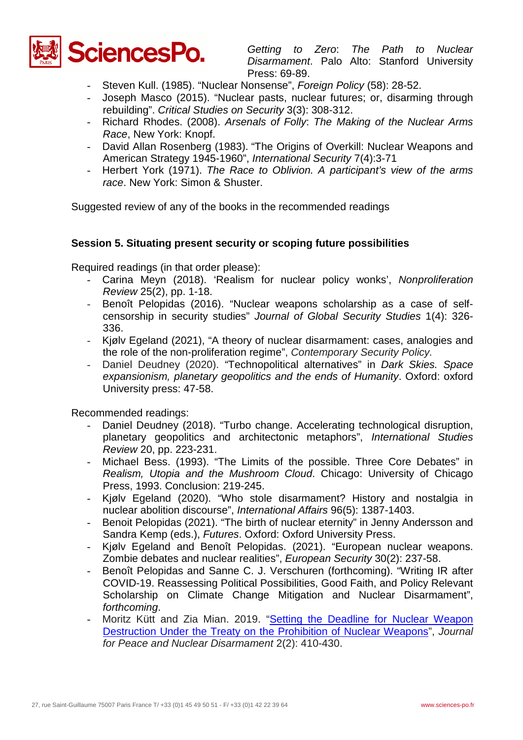

*Getting to Zero*: *The Path to Nuclear Disarmament*. Palo Alto: Stanford University Press: 69-89.

- Steven Kull. (1985). "Nuclear Nonsense", *Foreign Policy* (58): 28-52.
- Joseph Masco (2015). "Nuclear pasts, nuclear futures; or, disarming through rebuilding". *Critical Studies on Security* 3(3): 308-312.
- Richard Rhodes. (2008). *Arsenals of Folly*: *The Making of the Nuclear Arms Race*, New York: Knopf.
- David Allan Rosenberg (1983). "The Origins of Overkill: Nuclear Weapons and American Strategy 1945-1960", *International Security* 7(4):3-71
- Herbert York (1971). *The Race to Oblivion. A participant's view of the arms race*. New York: Simon & Shuster.

Suggested review of any of the books in the recommended readings

## **Session 5. Situating present security or scoping future possibilities**

Required readings (in that order please):

- Carina Meyn (2018). 'Realism for nuclear policy wonks', *Nonproliferation Review* 25(2), pp. 1-18.
- Benoît Pelopidas (2016). "Nuclear weapons scholarship as a case of selfcensorship in security studies" *Journal of Global Security Studies* 1(4): 326- 336.
- Kjølv Egeland (2021), "A theory of nuclear disarmament: cases, analogies and the role of the non-proliferation regime", *Contemporary Security Policy.*
- Daniel Deudney (2020). "Technopolitical alternatives" in *Dark Skies. Space expansionism, planetary geopolitics and the ends of Humanity*. Oxford: oxford University press: 47-58.

- Daniel Deudney (2018). "Turbo change. Accelerating technological disruption, planetary geopolitics and architectonic metaphors", *International Studies Review* 20, pp. 223-231.
- Michael Bess. (1993). "The Limits of the possible. Three Core Debates" in *Realism, Utopia and the Mushroom Cloud*. Chicago: University of Chicago Press, 1993. Conclusion: 219-245.
- Kjølv Egeland (2020). "Who stole disarmament? History and nostalgia in nuclear abolition discourse", *International Affairs* 96(5): 1387-1403.
- Benoit Pelopidas (2021). "The birth of nuclear eternity" in Jenny Andersson and Sandra Kemp (eds.), *Futures*. Oxford: Oxford University Press.
- Kjølv Egeland and Benoît Pelopidas. (2021). "European nuclear weapons. Zombie debates and nuclear realities", *European Security* 30(2): 237-58.
- Benoît Pelopidas and Sanne C. J. Verschuren (forthcoming). "Writing IR after COVID-19. Reassessing Political Possibilities, Good Faith, and Policy Relevant Scholarship on Climate Change Mitigation and Nuclear Disarmament", *forthcoming*.
- Moritz Kütt and Zia Mian. 2019. ["Setting the Deadline for Nuclear Weapon](https://www.tandfonline.com/doi/full/10.1080/25751654.2019.1674471)  [Destruction Under the Treaty on the Prohibition of Nuclear Weapons"](https://www.tandfonline.com/doi/full/10.1080/25751654.2019.1674471), *Journal for Peace and Nuclear Disarmament* 2(2): 410-430.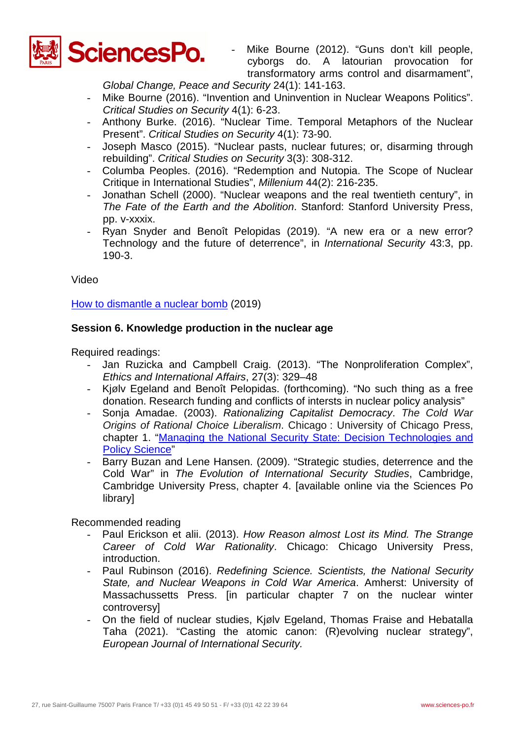

Mike Bourne (2012). "Guns don't kill people, cyborgs do. A latourian provocation for transformatory arms control and disarmament",

*Global Change, Peace and Security* 24(1): 141-163.

- Mike Bourne (2016). "Invention and Uninvention in Nuclear Weapons Politics". *Critical Studies on Security* 4(1): 6-23.
- Anthony Burke. (2016). "Nuclear Time. Temporal Metaphors of the Nuclear Present". *Critical Studies on Security* 4(1): 73-90.
- Joseph Masco (2015). "Nuclear pasts, nuclear futures; or, disarming through rebuilding". *Critical Studies on Security* 3(3): 308-312.
- Columba Peoples. (2016). "Redemption and Nutopia. The Scope of Nuclear Critique in International Studies", *Millenium* 44(2): 216-235.
- Jonathan Schell (2000). "Nuclear weapons and the real twentieth century", in *The Fate of the Earth and the Abolition*. Stanford: Stanford University Press, pp. v-xxxix.
- Ryan Snyder and Benoît Pelopidas (2019). "A new era or a new error? Technology and the future of deterrence", in *International Security* 43:3, pp. 190-3.

Video

How [to dismantle a nuclear bomb](https://www.youtube.com/watch?v=t_PXorv5pB4) (2019)

## **Session 6. Knowledge production in the nuclear age**

Required readings:

- Jan Ruzicka and Campbell Craig. (2013). "The Nonproliferation Complex", *Ethics and International Affairs*, 27(3): 329–48
- Kjølv Egeland and Benoît Pelopidas. (forthcoming). "No such thing as a free donation. Research funding and conflicts of intersts in nuclear policy analysis"
- Sonja Amadae. (2003). *Rationalizing Capitalist Democracy*. *The Cold War Origins of Rational Choice Liberalism*. Chicago : University of Chicago Press, chapter 1. ["Managing the National Security State: Decision Technologies and](https://deterritorialinvestigations.files.wordpress.com/2015/03/s-m-_amadae_rationalizing_capitalist_democracy_bookfi-org.pdf)  [Policy Science"](https://deterritorialinvestigations.files.wordpress.com/2015/03/s-m-_amadae_rationalizing_capitalist_democracy_bookfi-org.pdf)
- Barry Buzan and Lene Hansen. (2009). "Strategic studies, deterrence and the Cold War" in *The Evolution of International Security Studies*, Cambridge, Cambridge University Press, chapter 4. [available online via the Sciences Po **library**

- Paul Erickson et alii. (2013). *How Reason almost Lost its Mind. The Strange Career of Cold War Rationality*. Chicago: Chicago University Press, introduction.
- Paul Rubinson (2016). *Redefining Science. Scientists, the National Security State, and Nuclear Weapons in Cold War America*. Amherst: University of Massachussetts Press. [in particular chapter 7 on the nuclear winter controversy]
- On the field of nuclear studies, Kjølv Egeland, Thomas Fraise and Hebatalla Taha (2021). "Casting the atomic canon: (R)evolving nuclear strategy", *European Journal of International Security.*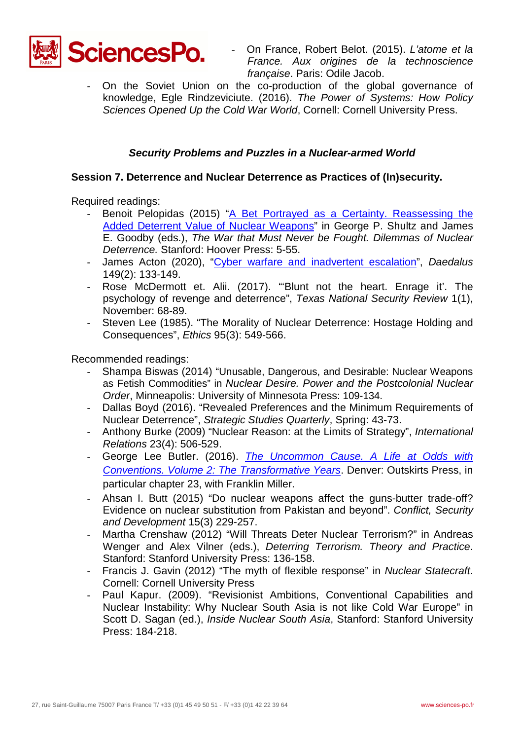

- On France, Robert Belot. (2015). *L'atome et la France. Aux origines de la technoscience française*. Paris: Odile Jacob.

On the Soviet Union on the co-production of the global governance of knowledge, Egle Rindzeviciute. (2016). *The Power of Systems: How Policy Sciences Opened Up the Cold War World*, Cornell: Cornell University Press.

# *Security Problems and Puzzles in a Nuclear-armed World*

## **Session 7. Deterrence and Nuclear Deterrence as Practices of (In)security.**

Required readings:

- Benoit Pelopidas (2015) ["A Bet Portrayed as a Certainty. Reassessing the](https://spire.sciencespo.fr/hdl:/2441/24h13fpf8o9n99g23352u3676b/resources/pelopidas-goodby-shultz-the-war-that-must-never-be-fought.pdf)  [Added Deterrent Value of Nuclear Weapons"](https://spire.sciencespo.fr/hdl:/2441/24h13fpf8o9n99g23352u3676b/resources/pelopidas-goodby-shultz-the-war-that-must-never-be-fought.pdf) in George P. Shultz and James E. Goodby (eds.), *The War that Must Never be Fought. Dilemmas of Nuclear Deterrence.* Stanford: Hoover Press: 5-55.
- James Acton (2020), ["Cyber warfare and inadvertent escalation"](https://www.amacad.org/sites/default/files/publication/downloads/Daedalus_Sp20_9_Acton.pdf), *Daedalus* 149(2): 133-149.
- Rose McDermott et. Alii. (2017). "Blunt not the heart. Enrage it'. The psychology of revenge and deterrence", *Texas National Security Review* 1(1), November: 68-89.
- Steven Lee (1985). "The Morality of Nuclear Deterrence: Hostage Holding and Consequences", *Ethics* 95(3): 549-566.

- Shampa Biswas (2014) "Unusable, Dangerous, and Desirable: Nuclear Weapons as Fetish Commodities" in *Nuclear Desire. Power and the Postcolonial Nuclear Order*, Minneapolis: University of Minnesota Press: 109-134.
- Dallas Boyd (2016). "Revealed Preferences and the Minimum Requirements of Nuclear Deterrence", *Strategic Studies Quarterly*, Spring: 43-73.
- Anthony Burke (2009) "Nuclear Reason: at the Limits of Strategy", *International Relations* 23(4): 506-529.
- George Lee Butler. (2016). *[The Uncommon Cause. A Life at Odds with](https://www.wagingpeace.org/wp-content/uploads/2016/05/butler_volume2.pdf)  [Conventions. Volume 2: The Transformative Years](https://www.wagingpeace.org/wp-content/uploads/2016/05/butler_volume2.pdf)*. Denver: Outskirts Press, in particular chapter 23, with Franklin Miller.
- Ahsan I. Butt (2015) "Do nuclear weapons affect the guns-butter trade-off? Evidence on nuclear substitution from Pakistan and beyond". *Conflict, Security and Development* 15(3) 229-257.
- Martha Crenshaw (2012) "Will Threats Deter Nuclear Terrorism?" in Andreas Wenger and Alex Vilner (eds.), *Deterring Terrorism. Theory and Practice*. Stanford: Stanford University Press: 136-158.
- Francis J. Gavin (2012) "The myth of flexible response" in *Nuclear Statecraft*. Cornell: Cornell University Press
- Paul Kapur. (2009). "Revisionist Ambitions, Conventional Capabilities and Nuclear Instability: Why Nuclear South Asia is not like Cold War Europe" in Scott D. Sagan (ed.), *Inside Nuclear South Asia*, Stanford: Stanford University Press: 184-218.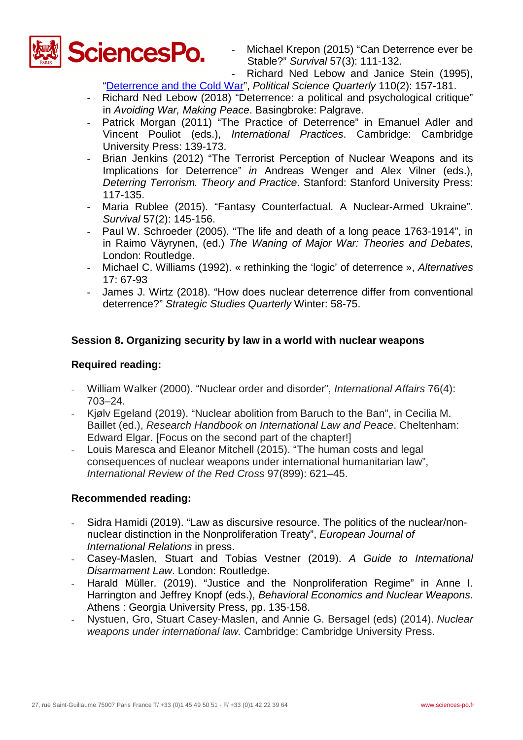

- Michael Krepon (2015) "Can Deterrence ever be Stable?" *Survival* 57(3): 111-132.

- Richard Ned Lebow and Janice Stein (1995),

"Deterrence and the Cold War", *Political Science Quarterly* 110(2): 157-181.

- Richard Ned Lebow (2018) "Deterrence: a political and psychological critique" in *Avoiding War, Making Peace*. Basingbroke: Palgrave.
- Patrick Morgan (2011) "The Practice of Deterrence" in Emanuel Adler and Vincent Pouliot (eds.), *International Practices*. Cambridge: Cambridge University Press: 139-173.
- Brian Jenkins (2012) "The Terrorist Perception of Nuclear Weapons and its Implications for Deterrence" *in* Andreas Wenger and Alex Vilner (eds.), *Deterring Terrorism. Theory and Practice*. Stanford: Stanford University Press: 117-135.
- Maria Rublee (2015). "Fantasy Counterfactual. A Nuclear-Armed Ukraine". *Survival* 57(2): 145-156.
- Paul W. Schroeder (2005). "The life and death of a long peace 1763-1914", in in Raimo Väyrynen, (ed.) *The Waning of Major War: Theories and Debates*, London: Routledge.
- Michael C. Williams (1992). « rethinking the 'logic' of deterrence », *Alternatives* 17: 67-93
- James J. Wirtz (2018). "How does nuclear deterrence differ from conventional deterrence?" *Strategic Studies Quarterly* Winter: 58-75.

# **Session 8. Organizing security by law in a world with nuclear weapons**

# **Required reading:**

- William Walker (2000). "Nuclear order and disorder", *International Affairs* 76(4): 703–24.
- Kjølv Egeland (2019). "Nuclear abolition from Baruch to the Ban", in Cecilia M. Baillet (ed.), *Research Handbook on International Law and Peace*. Cheltenham: Edward Elgar. [Focus on the second part of the chapter!]
- Louis Maresca and Eleanor Mitchell (2015). "The human costs and legal consequences of nuclear weapons under international humanitarian law", *International Review of the Red Cross* 97(899): 621–45.

- Sidra Hamidi (2019). "Law as discursive resource. The politics of the nuclear/nonnuclear distinction in the Nonproliferation Treaty", *European Journal of International Relations* in press.
- Casey-Maslen, Stuart and Tobias Vestner (2019). *A Guide to International Disarmament Law*. London: Routledge.
- Harald Müller. (2019). "Justice and the Nonproliferation Regime" in Anne I. Harrington and Jeffrey Knopf (eds.), *Behavioral Economics and Nuclear Weapons*. Athens : Georgia University Press, pp. 135-158.
- Nystuen, Gro, Stuart Casey-Maslen, and Annie G. Bersagel (eds) (2014). *Nuclear weapons under international law.* Cambridge: Cambridge University Press.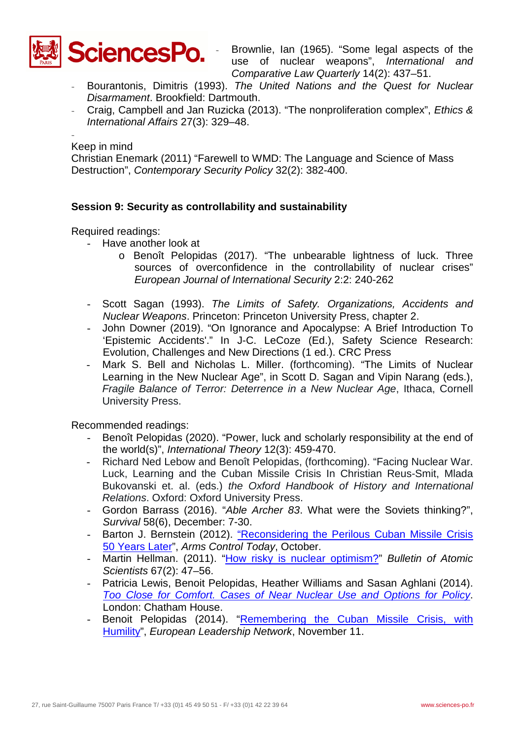

Brownlie, Ian (1965). "Some legal aspects of the use of nuclear weapons", *International and Comparative Law Quarterly* 14(2): 437–51.

- Bourantonis, Dimitris (1993). *The United Nations and the Quest for Nuclear Disarmament*. Brookfield: Dartmouth.
- Craig, Campbell and Jan Ruzicka (2013). "The nonproliferation complex", *Ethics & International Affairs* 27(3): 329–48.

- Keep in mind

Christian Enemark (2011) "Farewell to WMD: The Language and Science of Mass Destruction", *Contemporary Security Policy* 32(2): 382-400.

# **Session 9: Security as controllability and sustainability**

Required readings:

- Have another look at
	- o Benoît Pelopidas (2017). "The unbearable lightness of luck. Three sources of overconfidence in the controllability of nuclear crises" *European Journal of International Security* 2:2: 240-262
- Scott Sagan (1993). *The Limits of Safety. Organizations, Accidents and Nuclear Weapons*. Princeton: Princeton University Press, chapter 2.
- John Downer (2019). "On Ignorance and Apocalypse: A Brief Introduction To 'Epistemic Accidents'." In J-C. LeCoze (Ed.), Safety Science Research: Evolution, Challenges and New Directions (1 ed.). CRC Press
- Mark S. Bell and Nicholas L. Miller. (forthcoming). "The Limits of Nuclear Learning in the New Nuclear Age", in Scott D. Sagan and Vipin Narang (eds.), *Fragile Balance of Terror: Deterrence in a New Nuclear Age*, Ithaca, Cornell University Press.

- Benoît Pelopidas (2020). "Power, luck and scholarly responsibility at the end of the world(s)", *International Theory* 12(3): 459-470.
- Richard Ned Lebow and Benoît Pelopidas, (forthcoming). "Facing Nuclear War. Luck, Learning and the Cuban Missile Crisis In Christian Reus-Smit, Mlada Bukovanski et. al. (eds.) *the Oxford Handbook of History and International Relations*. Oxford: Oxford University Press.
- Gordon Barrass (2016). "*Able Archer 83*. What were the Soviets thinking?", *Survival* 58(6), December: 7-30.
- Barton J. Bernstein (2012). ["Reconsidering the Perilous Cuban Missile Crisis](http://www.armscontrol.org/act/2012_10/Reconsidering-the-Perilous-Cuban-Missile-Crisis-50-Years-Later)  [50 Years Later"](http://www.armscontrol.org/act/2012_10/Reconsidering-the-Perilous-Cuban-Missile-Crisis-50-Years-Later), *Arms Control Today*, October.
- Martin Hellman. (2011). ["How risky is nuclear optimism?"](http://www-ee.stanford.edu/%7Ehellman/publications/75.pdf) *Bulletin of Atomic Scientists* 67(2): 47–56.
- Patricia Lewis, Benoit Pelopidas, Heather Williams and Sasan Aghlani (2014). *[Too Close for Comfort. Cases of Near Nuclear Use and Options for Policy](https://www.chathamhouse.org/sites/files/chathamhouse/field/field_document/20140428TooCloseforComfortNuclearUseLewisWilliamsPelopidasAghlani.pdf)*. London: Chatham House.
- Benoit Pelopidas (2014). "Remembering the Cuban Missile Crisis, with [Humility"](http://www.europeanleadershipnetwork.org/remembering-the-cuban-missile-crisis-with-humility_2118.html), *European Leadership Network*, November 11.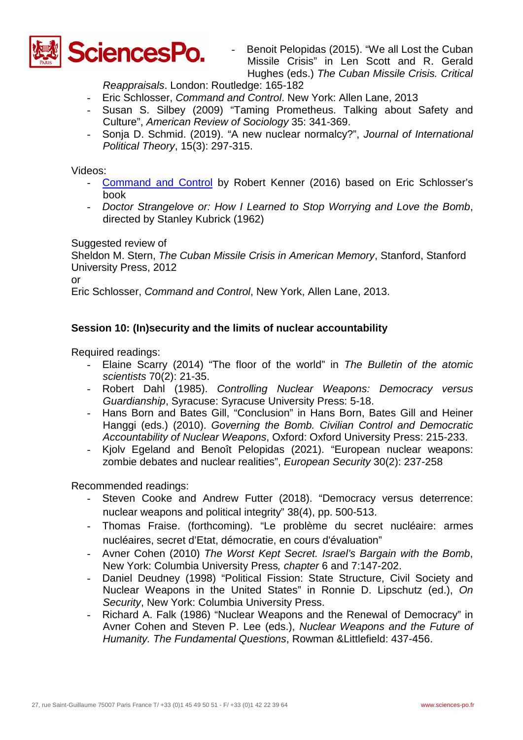

Benoit Pelopidas (2015). "We all Lost the Cuban Missile Crisis" in Len Scott and R. Gerald Hughes (eds.) *The Cuban Missile Crisis. Critical* 

*Reappraisals*. London: Routledge: 165-182

- Eric Schlosser, *Command and Control*. New York: Allen Lane, 2013
- Susan S. Silbey (2009) "Taming Prometheus. Talking about Safety and Culture", *American Review of Sociology* 35: 341-369.
- Sonja D. Schmid. (2019). "A new nuclear normalcy?", *Journal of International Political Theory*, 15(3): 297-315.

Videos:

- [Command and Control](https://www.youtube.com/watch?v=YiecixAsm8w) by Robert Kenner (2016) based on Eric Schlosser's book
- *Doctor Strangelove or: How I Learned to Stop Worrying and Love the Bomb*, directed by Stanley Kubrick (1962)

Suggested review of

Sheldon M. Stern, *The Cuban Missile Crisis in American Memory*, Stanford, Stanford University Press, 2012

or

Eric Schlosser, *Command and Control*, New York, Allen Lane, 2013.

# **Session 10: (In)security and the limits of nuclear accountability**

Required readings:

- Elaine Scarry (2014) "The floor of the world" in *The Bulletin of the atomic scientists* 70(2): 21-35.
- Robert Dahl (1985). *Controlling Nuclear Weapons: Democracy versus Guardianship*, Syracuse: Syracuse University Press: 5-18.
- Hans Born and Bates Gill, "Conclusion" in Hans Born, Bates Gill and Heiner Hanggi (eds.) (2010). *Governing the Bomb. Civilian Control and Democratic Accountability of Nuclear Weapons*, Oxford: Oxford University Press: 215-233.
- Kjolv Egeland and Benoît Pelopidas (2021). "European nuclear weapons: zombie debates and nuclear realities", *European Security* 30(2): 237-258

- Steven Cooke and Andrew Futter (2018). "Democracy versus deterrence: nuclear weapons and political integrity" 38(4), pp. 500-513.
- Thomas Fraise. (forthcoming). "Le problème du secret nucléaire: armes nucléaires, secret d'Etat, démocratie, en cours d'évaluation"
- Avner Cohen (2010) *The Worst Kept Secret. Israel's Bargain with the Bomb*, New York: Columbia University Press*, chapter* 6 and 7:147-202.
- Daniel Deudney (1998) "Political Fission: State Structure, Civil Society and Nuclear Weapons in the United States" in Ronnie D. Lipschutz (ed.), *On Security*, New York: Columbia University Press.
- Richard A. Falk (1986) "Nuclear Weapons and the Renewal of Democracy" in Avner Cohen and Steven P. Lee (eds.), *Nuclear Weapons and the Future of Humanity. The Fundamental Questions*, Rowman &Littlefield: 437-456.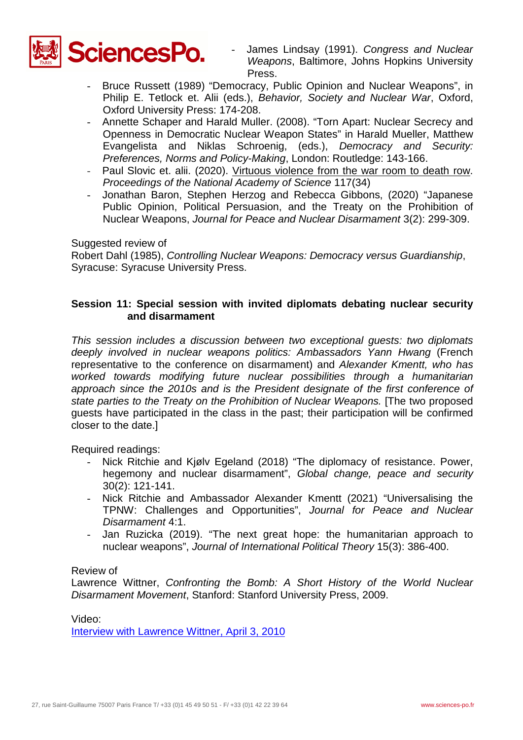

- James Lindsay (1991). *Congress and Nuclear Weapons*, Baltimore, Johns Hopkins University Press.
- Bruce Russett (1989) "Democracy, Public Opinion and Nuclear Weapons", in Philip E. Tetlock et. Alii (eds.), *Behavior, Society and Nuclear War*, Oxford, Oxford University Press: 174-208.
- Annette Schaper and Harald Muller. (2008). "Torn Apart: Nuclear Secrecy and Openness in Democratic Nuclear Weapon States" in Harald Mueller, Matthew Evangelista and Niklas Schroenig, (eds.), *Democracy and Security: Preferences, Norms and Policy-Making*, London: Routledge: 143-166.
- Paul Slovic et. alii. (2020). [Virtuous violence from the war room to death row.](https://www.pnas.org/content/pnas/117/34/20474.full.pdf) *Proceedings of the National Academy of Science* 117(34)
- Jonathan Baron, Stephen Herzog and Rebecca Gibbons, (2020) "Japanese Public Opinion, Political Persuasion, and the Treaty on the Prohibition of Nuclear Weapons, *Journal for Peace and Nuclear Disarmament* 3(2): 299-309.

Suggested review of

Robert Dahl (1985), *Controlling Nuclear Weapons: Democracy versus Guardianship*, Syracuse: Syracuse University Press.

# **Session 11: Special session with invited diplomats debating nuclear security and disarmament**

*This session includes a discussion between two exceptional guests: two diplomats deeply involved in nuclear weapons politics: Ambassadors Yann Hwang* (French representative to the conference on disarmament) and *Alexander Kmentt, who has worked towards modifying future nuclear possibilities through a humanitarian approach since the 2010s and is the President designate of the first conference of state parties to the Treaty on the Prohibition of Nuclear Weapons.* [The two proposed guests have participated in the class in the past; their participation will be confirmed closer to the date.]

Required readings:

- Nick Ritchie and Kjølv Egeland (2018) "The diplomacy of resistance. Power, hegemony and nuclear disarmament", *Global change, peace and security* 30(2): 121-141.
- Nick Ritchie and Ambassador Alexander Kmentt (2021) "Universalising the TPNW: Challenges and Opportunities", *Journal for Peace and Nuclear Disarmament* 4:1.
- Jan Ruzicka (2019). "The next great hope: the humanitarian approach to nuclear weapons", *Journal of International Political Theory* 15(3): 386-400.

### Review of

Lawrence Wittner, *Confronting the Bomb: A Short History of the World Nuclear Disarmament Movement*, Stanford: Stanford University Press, 2009.

Video:

[Interview with Lawrence Wittner, April 3, 2010](http://www.youtube.com/watch?v=EsH-cWX5eOQ)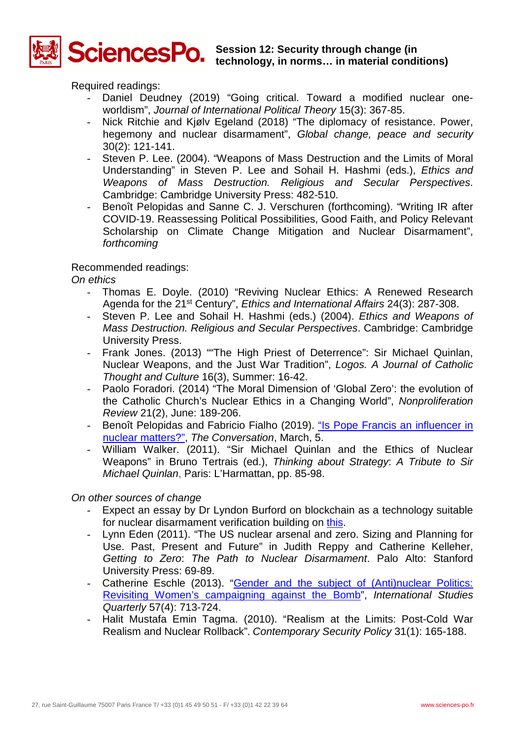

# **Session 12: Security through change (in technology, in norms… in material conditions)**

Required readings:

- Daniel Deudney (2019) "Going critical. Toward a modified nuclear oneworldism", *Journal of International Political Theory* 15(3): 367-85.
- Nick Ritchie and Kjølv Egeland (2018) "The diplomacy of resistance. Power, hegemony and nuclear disarmament", *Global change, peace and security* 30(2): 121-141.
- Steven P. Lee. (2004). "Weapons of Mass Destruction and the Limits of Moral Understanding" in Steven P. Lee and Sohail H. Hashmi (eds.), *Ethics and Weapons of Mass Destruction. Religious and Secular Perspectives*. Cambridge: Cambridge University Press: 482-510.
- Benoît Pelopidas and Sanne C. J. Verschuren (forthcoming). "Writing IR after COVID-19. Reassessing Political Possibilities, Good Faith, and Policy Relevant Scholarship on Climate Change Mitigation and Nuclear Disarmament", *forthcoming*

## Recommended readings:

*On ethics*

- Thomas E. Doyle. (2010) "Reviving Nuclear Ethics: A Renewed Research Agenda for the 21st Century", *Ethics and International Affairs* 24(3): 287-308.
- Steven P. Lee and Sohail H. Hashmi (eds.) (2004). *Ethics and Weapons of Mass Destruction. Religious and Secular Perspectives*. Cambridge: Cambridge University Press.
- Frank Jones. (2013) ""The High Priest of Deterrence": Sir Michael Quinlan, Nuclear Weapons, and the Just War Tradition", *Logos. A Journal of Catholic Thought and Culture* 16(3), Summer: 16-42.
- Paolo Foradori. (2014) "The Moral Dimension of 'Global Zero': the evolution of the Catholic Church's Nuclear Ethics in a Changing World", *Nonproliferation Review* 21(2), June: 189-206.
- Benoît Pelopidas and Fabricio Fialho (2019). ["Is Pope Francis an influencer in](https://theconversation.com/is-pope-francis-really-an-influencer-on-nuclear-matters-110298)  [nuclear matters?",](https://theconversation.com/is-pope-francis-really-an-influencer-on-nuclear-matters-110298) *The Conversation*, March, 5.
- William Walker. (2011). "Sir Michael Quinlan and the Ethics of Nuclear Weapons" in Bruno Tertrais (ed.), *Thinking about Strategy*: *A Tribute to Sir Michael Quinlan*, Paris: L'Harmattan, pp. 85-98.

*On other sources of change*

- Expect an essay by Dr Lyndon Burford on blockchain as a technology suitable for nuclear disarmament verification building on [this.](https://medium.com/international-affairs-blog/could-blockchain-technology-help-advance-nuclear-disarmament-6efaab35e277)
- Lynn Eden (2011). "The US nuclear arsenal and zero. Sizing and Planning for Use. Past, Present and Future" in Judith Reppy and Catherine Kelleher, *Getting to Zero*: *The Path to Nuclear Disarmament*. Palo Alto: Stanford University Press: 69-89.
- Catherine Eschle (2013). ["Gender and the subject of \(Anti\)nuclear Politics:](http://onlinelibrary.wiley.com/doi/10.1111/isqu.12019/pdf)  [Revisiting Women's campaigning against the Bomb"](http://onlinelibrary.wiley.com/doi/10.1111/isqu.12019/pdf), *International Studies Quarterly* 57(4): 713-724.
- Halit Mustafa Emin Tagma. (2010). "Realism at the Limits: Post-Cold War Realism and Nuclear Rollback". *Contemporary Security Policy* 31(1): 165-188.